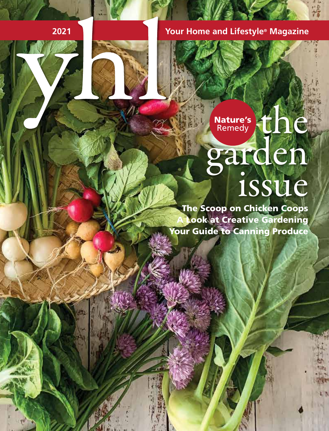**2021 Magazine Magazine Magazine Magazine Magazine** 

## the garden<br>1984 Nature's Remedy

The Scoop on Chicken Coops **Look at Creative Gardening** Your Guide to Canning Produce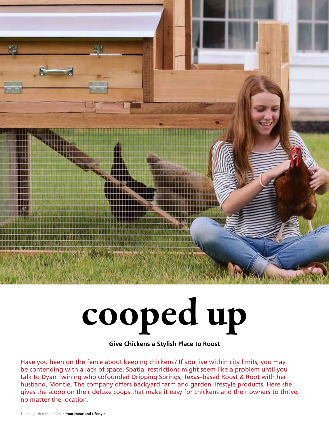

## cooped up

**Give Chickens a Stylish Place to Roost**

Have you been on the fence about keeping chickens? If you live within city limits, you may be contending with a lack of space. Spatial restrictions might seem like a problem until you talk to Dyan Twining who cofounded Dripping Springs, Texas–based Roost & Root with her husband, Montie. The company offers backyard farm and garden lifestyle products. Here she gives the scoop on their deluxe coops that make it easy for chickens and their owners to thrive, no matter the location.